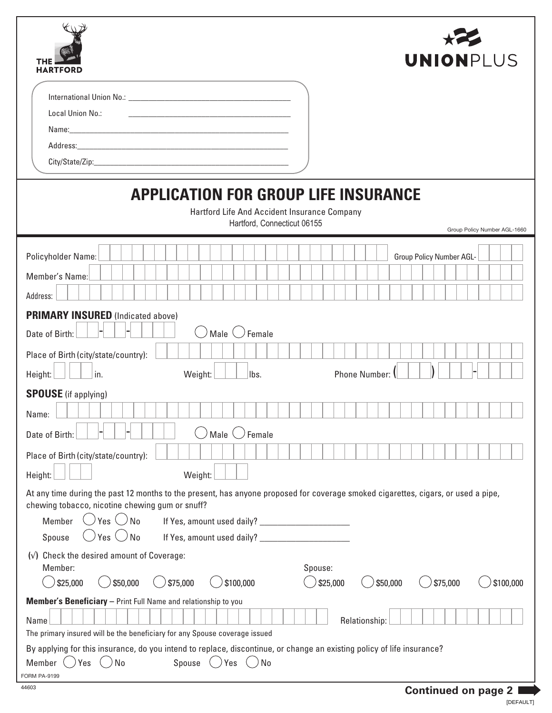| <b>UNIONPLUS</b><br><b>HARTFORD</b><br>Local Union No.:                                                                                                                                                                                     |  |  |  |  |
|---------------------------------------------------------------------------------------------------------------------------------------------------------------------------------------------------------------------------------------------|--|--|--|--|
|                                                                                                                                                                                                                                             |  |  |  |  |
| <b>APPLICATION FOR GROUP LIFE INSURANCE</b><br>Hartford Life And Accident Insurance Company<br>Hartford, Connecticut 06155<br>Group Policy Number AGL-1660                                                                                  |  |  |  |  |
| Policyholder Name:<br>Group Policy Number AGL-<br>Member's Name:                                                                                                                                                                            |  |  |  |  |
| Address:<br><b>PRIMARY INSURED</b> (Indicated above)<br>Male $\langle \ \rangle$ Female<br>Date of Birth:                                                                                                                                   |  |  |  |  |
| Place of Birth (city/state/country):<br>Phone Number:<br>in.<br>Weight:<br>Height:<br>lbs.<br><b>SPOUSE</b> (if applying)                                                                                                                   |  |  |  |  |
| Name:<br>Female<br>Male<br>Date of Birth:                                                                                                                                                                                                   |  |  |  |  |
| Place of Birth (city/state/country):<br>Weight:<br>Height:<br>At any time during the past 12 months to the present, has anyone proposed for coverage smoked cigarettes, cigars, or used a pipe,                                             |  |  |  |  |
| chewing tobacco, nicotine chewing gum or snuff?<br>$\cup$ Yes $\cup$ No<br>Member<br>$\bigcirc$ Yes $\bigcirc$ No<br>Spouse                                                                                                                 |  |  |  |  |
| $(\sqrt{})$ Check the desired amount of Coverage:<br>Member:<br>Spouse:<br>\$75,000<br>\$25,000<br>\$50,000<br>\$100,000<br>\$25,000<br>\$75,000<br>\$50,000<br>\$100,000<br>Member's Beneficiary - Print Full Name and relationship to you |  |  |  |  |
| Relationship:<br>Name<br>The primary insured will be the beneficiary for any Spouse coverage issued<br>By applying for this insurance, do you intend to replace, discontinue, or change an existing policy of life insurance?               |  |  |  |  |
| No<br>Spouse<br>Yes<br>No<br>Member<br>Yes<br><b>FORM PA-9199</b><br>44603<br><b>Continued on page 2</b>                                                                                                                                    |  |  |  |  |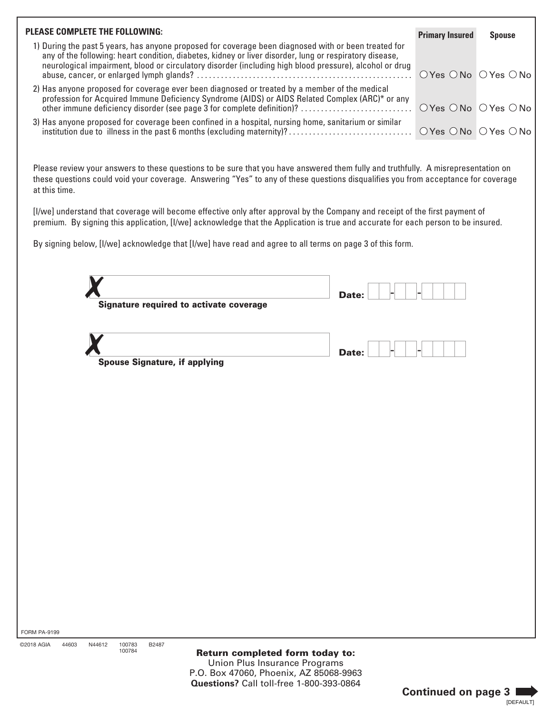| <b>PLEASE COMPLETE THE FOLLOWING:</b>                                                                                                                                                                                                                                                                                      | <b>Primary Insured</b>                                    | <b>Spouse</b> |
|----------------------------------------------------------------------------------------------------------------------------------------------------------------------------------------------------------------------------------------------------------------------------------------------------------------------------|-----------------------------------------------------------|---------------|
| 1) During the past 5 years, has anyone proposed for coverage been diagnosed with or been treated for<br>any of the following: heart condition, diabetes, kidney or liver disorder, lung or respiratory disease,<br>neurological impairment, blood or circulatory disorder (including high blood pressure), alcohol or drug |                                                           |               |
| 2) Has anyone proposed for coverage ever been diagnosed or treated by a member of the medical<br>profession for Acquired Immune Deficiency Syndrome (AIDS) or AIDS Related Complex (ARC)* or any<br>other immune deficiency disorder (see page 3 for complete definition)?                                                 | $\bigcirc$ Yes $\bigcirc$ No $\bigcirc$ Yes $\bigcirc$ No |               |
| 3) Has anyone proposed for coverage been confined in a hospital, nursing home, sanitarium or similar                                                                                                                                                                                                                       |                                                           |               |

Please review your answers to these questions to be sure that you have answered them fully and truthfully. A misrepresentation on these questions could void your coverage. Answering "Yes" to any of these questions disqualifies you from acceptance for coverage at this time.

[I/we] understand that coverage will become effective only after approval by the Company and receipt of the first payment of premium. By signing this application, [I/we] acknowledge that the Application is true and accurate for each person to be insured.

By signing below, [I/we] acknowledge that [I/we] have read and agree to all terms on page 3 of this form.

|                                                    | Signature required to activate coverage | Date: |
|----------------------------------------------------|-----------------------------------------|-------|
| <b>Spouse Signature, if applying</b>               |                                         | Date: |
|                                                    |                                         |       |
|                                                    |                                         |       |
|                                                    |                                         |       |
| 99<br>N44612<br>44603<br>100783<br>B2487<br>100784 | <b>Doturn completed form todou to:</b>  |       |

Return completed form today to: Union Plus Insurance Programs P.O. Box 47060, Phoenix, AZ 85068-9963 **Questions?** Call toll-free 1-800-393-0864

©2018 AGIA

FORM PA-91